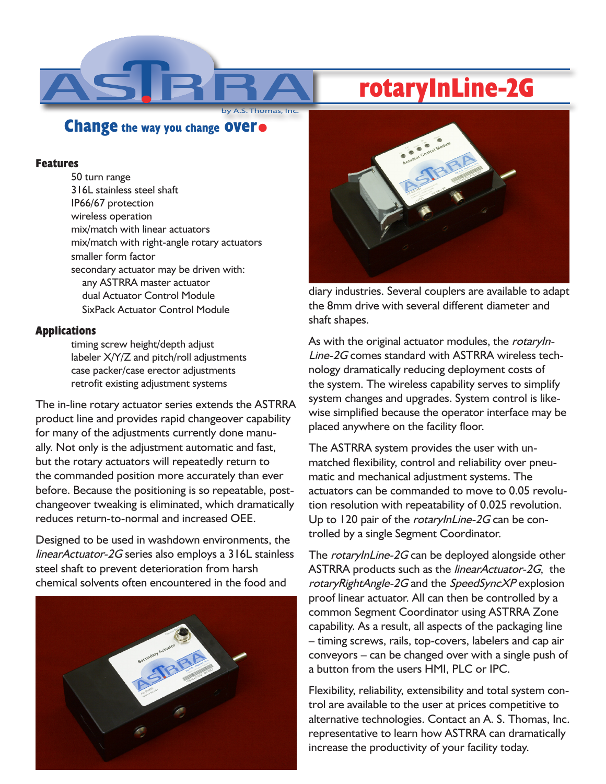# **rotaryInLine-2G**

## **Change the way you change over.**

**Thomas, Inc.** 

#### **Features**

50 turn range 316L stainless steel shaft IP66/67 protection wireless operation mix/match with linear actuators mix/match with right-angle rotary actuators smaller form factor secondary actuator may be driven with: any ASTRRA master actuator dual Actuator Control Module SixPack Actuator Control Module

### **Applications**

timing screw height/depth adjust labeler X/Y/Z and pitch/roll adjustments case packer/case erector adjustments retrofit existing adjustment systems

The in-line rotary actuator series extends the ASTRRA product line and provides rapid changeover capability for many of the adjustments currently done manually. Not only is the adjustment automatic and fast, but the rotary actuators will repeatedly return to the commanded position more accurately than ever before. Because the positioning is so repeatable, postchangeover tweaking is eliminated, which dramatically reduces return-to-normal and increased OEE.

Designed to be used in washdown environments, the linearActuator-2G series also employs a 316L stainless steel shaft to prevent deterioration from harsh chemical solvents often encountered in the food and





diary industries. Several couplers are available to adapt the 8mm drive with several different diameter and shaft shapes.

As with the original actuator modules, the rotaryIn-Line-2G comes standard with ASTRRA wireless technology dramatically reducing deployment costs of the system. The wireless capability serves to simplify system changes and upgrades. System control is likewise simplified because the operator interface may be placed anywhere on the facility floor.

The ASTRRA system provides the user with unmatched flexibility, control and reliability over pneumatic and mechanical adjustment systems. The actuators can be commanded to move to 0.05 revolution resolution with repeatability of 0.025 revolution. Up to 120 pair of the rotaryInLine-2G can be controlled by a single Segment Coordinator.

The rotaryInLine-2G can be deployed alongside other ASTRRA products such as the *linearActuator-2G*, the rotaryRightAngle-2G and the SpeedSyncXP explosion proof linear actuator. All can then be controlled by a common Segment Coordinator using ASTRRA Zone capability. As a result, all aspects of the packaging line – timing screws, rails, top-covers, labelers and cap air conveyors – can be changed over with a single push of a button from the users HMI, PLC or IPC.

Flexibility, reliability, extensibility and total system control are available to the user at prices competitive to alternative technologies. Contact an A. S. Thomas, Inc. representative to learn how ASTRRA can dramatically increase the productivity of your facility today.